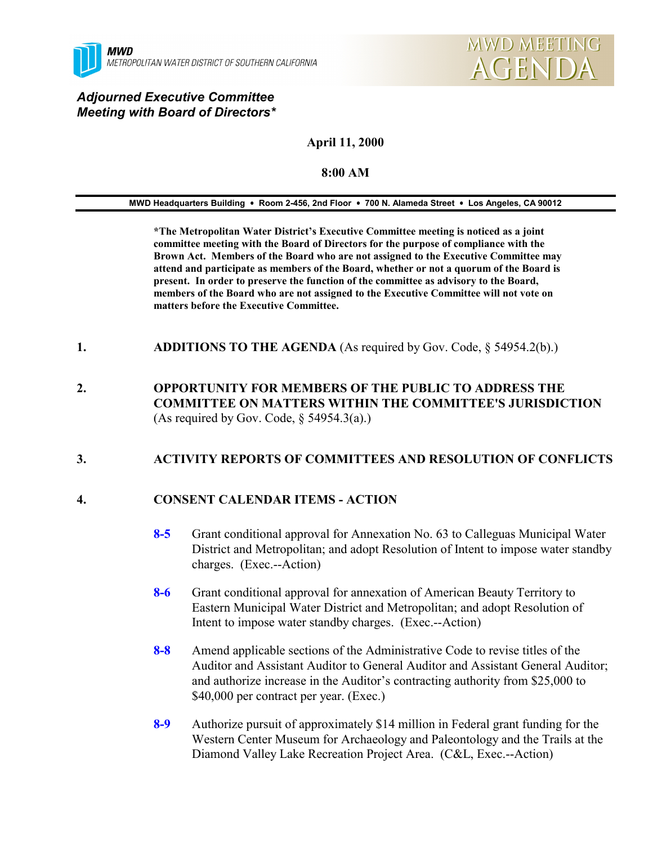

# *Adjourned Executive Committee Meeting with Board of Directors\**

# **April 11, 2000**

#### **8:00 AM**

#### **MWD Headquarters Building** ! **Room 2-456, 2nd Floor** ! **700 N. Alameda Street** ! **Los Angeles, CA 90012**

**\*The Metropolitan Water District's Executive Committee meeting is noticed as a joint committee meeting with the Board of Directors for the purpose of compliance with the Brown Act. Members of the Board who are not assigned to the Executive Committee may attend and participate as members of the Board, whether or not a quorum of the Board is present. In order to preserve the function of the committee as advisory to the Board, members of the Board who are not assigned to the Executive Committee will not vote on matters before the Executive Committee.**

- **1. ADDITIONS TO THE AGENDA** (As required by Gov. Code, § 54954.2(b).)
- **2. OPPORTUNITY FOR MEMBERS OF THE PUBLIC TO ADDRESS THE COMMITTEE ON MATTERS WITHIN THE COMMITTEE'S JURISDICTION** (As required by Gov. Code,  $\S$  54954.3(a).)

# **3. ACTIVITY REPORTS OF COMMITTEES AND RESOLUTION OF CONFLICTS**

# **4. CONSENT CALENDAR ITEMS - ACTION**

- **8-5** Grant conditional approval for Annexation No. 63 to Calleguas Municipal Water District and Metropolitan; and adopt Resolution of Intent to impose water standby charges. (Exec.--Action)
- **8-6** Grant conditional approval for annexation of American Beauty Territory to Eastern Municipal Water District and Metropolitan; and adopt Resolution of Intent to impose water standby charges. (Exec.--Action)
- **8-8** Amend applicable sections of the Administrative Code to revise titles of the Auditor and Assistant Auditor to General Auditor and Assistant General Auditor; and authorize increase in the Auditor's contracting authority from \$25,000 to \$40,000 per contract per year. (Exec.)
- **8-9** Authorize pursuit of approximately \$14 million in Federal grant funding for the Western Center Museum for Archaeology and Paleontology and the Trails at the Diamond Valley Lake Recreation Project Area. (C&L, Exec.--Action)